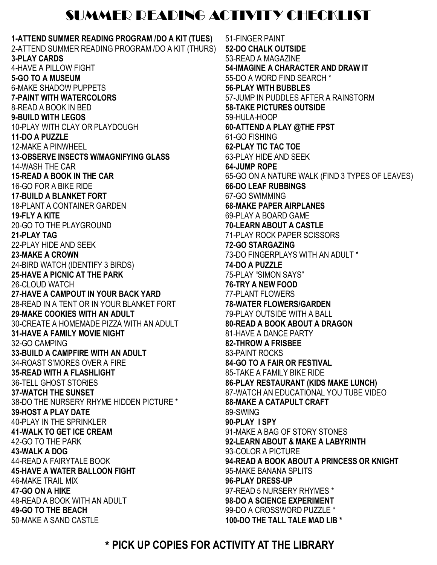## SUMMER READING ACTIVITY CHECKLIST

**1-ATTEND SUMMER READING PROGRAM /DO A KIT (TUES)** 2-ATTEND SUMMER READING PROGRAM /DO A KIT (THURS) **3-PLAY CARDS** 4-HAVE A PILLOW FIGHT **5-GO TO A MUSEUM** 6-MAKE SHADOW PUPPETS **7-PAINT WITH WATERCOLORS** 8-READ A BOOK IN BED **9-BUILD WITH LEGOS** 10-PLAY WITH CLAY OR PLAYDOUGH **11-DO A PUZZLE** 12-MAKE A PINWHEEL **13-OBSERVE INSECTS W/MAGNIFYING GLASS** 14-WASH THE CAR **15-READ A BOOK IN THE CAR** 16-GO FOR A BIKE RIDE **17-BUILD A BLANKET FORT** 18-PLANT A CONTAINER GARDEN **19-FLY A KITE** 20-GO TO THE PLAYGROUND **21-PLAY TAG** 22-PLAY HIDE AND SEEK **23-MAKE A CROWN** 24-BIRD WATCH (IDENTIFY 3 BIRDS) **25-HAVE A PICNIC AT THE PARK** 26-CLOUD WATCH **27-HAVE A CAMPOUT IN YOUR BACK YARD** 28-READ IN A TENT OR IN YOUR BLANKET FORT **29-MAKE COOKIES WITH AN ADULT** 30-CREATE A HOMEMADE PIZZA WITH AN ADULT **31-HAVE A FAMILY MOVIE NIGHT** 32-GO CAMPING **33-BUILD A CAMPFIRE WITH AN ADULT** 34-ROAST S'MORES OVER A FIRE **35-READ WITH A FLASHLIGHT** 36-TELL GHOST STORIES **37-WATCH THE SUNSET** 38-DO THE NURSERY RHYME HIDDEN PICTURE \* **39-HOST A PLAY DATE** 40-PLAY IN THE SPRINKLER **41-WALK TO GET ICE CREAM** 42-GO TO THE PARK **43-WALK A DOG** 44-READ A FAIRYTALE BOOK **45-HAVE A WATER BALLOON FIGHT** 46-MAKE TRAIL MIX **47-GO ON A HIKE** 48-READ A BOOK WITH AN ADULT **49-GO TO THE BEACH** 50-MAKE A SAND CASTLE

51-FINGER PAINT **52-DO CHALK OUTSIDE** 53-READ A MAGAZINE **54-IMAGINE A CHARACTER AND DRAW IT** 55-DO A WORD FIND SEARCH \* **56-PLAY WITH BUBBLES** 57-JUMP IN PUDDLES AFTER A RAINSTORM **58-TAKE PICTURES OUTSIDE** 59-HULA-HOOP **60-ATTEND A PLAY @THE FPST** 61-GO FISHING **62-PLAY TIC TAC TOE** 63-PLAY HIDE AND SEEK **64-JUMP ROPE** 65-GO ON A NATURE WALK (FIND 3 TYPES OF LEAVES) **66-DO LEAF RUBBINGS** 67-GO SWIMMING **68-MAKE PAPER AIRPLANES** 69-PLAY A BOARD GAME **70-LEARN ABOUT A CASTLE** 71-PLAY ROCK PAPER SCISSORS **72-GO STARGAZING** 73-DO FINGERPLAYS WITH AN ADULT \* **74-DO A PUZZLE** 75-PLAY "SIMON SAYS" **76-TRY A NEW FOOD** 77-PLANT FLOWERS **78-WATER FLOWERS/GARDEN** 79-PLAY OUTSIDE WITH A BALL **80-READ A BOOK ABOUT A DRAGON** 81-HAVE A DANCE PARTY **82-THROW A FRISBEE** 83-PAINT ROCKS **84-GO TO A FAIR OR FESTIVAL** 85-TAKE A FAMILY BIKE RIDE **86-PLAY RESTAURANT (KIDS MAKE LUNCH)** 87-WATCH AN EDUCATIONAL YOU TUBE VIDEO **88-MAKE A CATAPULT CRAFT**  89-SWING **90-PLAY I SPY** 91-MAKE A BAG OF STORY STONES **92-LEARN ABOUT & MAKE A LABYRINTH** 93-COLOR A PICTURE **94-READ A BOOK ABOUT A PRINCESS OR KNIGHT**  95-MAKE BANANA SPLITS **96-PLAY DRESS-UP** 97-READ 5 NURSERY RHYMES \* **98-DO A SCIENCE EXPERIMENT** 99-DO A CROSSWORD PUZZLE \* **100-DO THE TALL TALE MAD LIB \***

\* **PICK UP COPIES FOR ACTIVITY AT THE LIBRARY**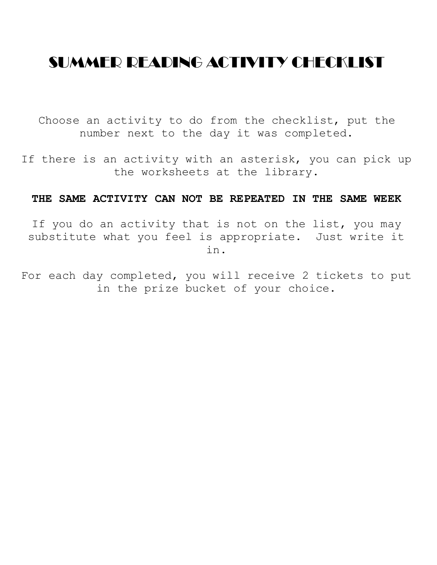# SUMMER READING ACTIVITY CHECKLIST

Choose an activity to do from the checklist, put the number next to the day it was completed.

If there is an activity with an asterisk, you can pick up the worksheets at the library.

#### **THE SAME ACTIVITY CAN NOT BE REPEATED IN THE SAME WEEK**

If you do an activity that is not on the list, you may substitute what you feel is appropriate. Just write it in.

For each day completed, you will receive 2 tickets to put in the prize bucket of your choice.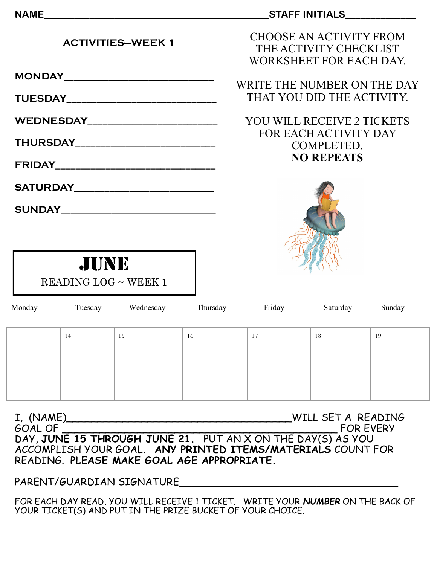#### NAME **NAME**

| <b>ACTIVITIES-WEEK 1</b> |  |
|--------------------------|--|
|                          |  |

**MONDAY\_\_\_\_\_\_\_\_\_\_\_\_\_\_\_\_\_\_\_\_\_\_\_\_\_\_\_\_\_\_**

**TUESDAY\_\_\_\_\_\_\_\_\_\_\_\_\_\_\_\_\_\_\_\_\_\_\_\_\_\_\_\_\_\_**

**WEDNESDAY\_\_\_\_\_\_\_\_\_\_\_\_\_\_\_\_\_\_\_\_\_\_\_\_\_\_**

**THURSDAY\_\_\_\_\_\_\_\_\_\_\_\_\_\_\_\_\_\_\_\_\_\_\_\_\_\_\_\_**

**FRIDAY\_\_\_\_\_\_\_\_\_\_\_\_\_\_\_\_\_\_\_\_\_\_\_\_\_\_\_\_\_\_\_\_**

**SATURDAY\_\_\_\_\_\_\_\_\_\_\_\_\_\_\_\_\_\_\_\_\_\_\_\_\_\_\_\_**

 $SUNDAY$ 



WRITE THE NUMBER ON THE DAY THAT YOU DID THE ACTIVITY.

## YOU WILL RECEIVE 2 TICKETS FOR EACH ACTIVITY DAY COMPLETED. **NO REPEATS**





| Monday | Tuesday | Wednesday | Thursday | Friday | Saturday | Sunday |
|--------|---------|-----------|----------|--------|----------|--------|
|        |         |           |          |        |          |        |
|        | 14      | 15        | 16       | 17     | 18       | 19     |
|        |         |           |          |        |          |        |
|        |         |           |          |        |          |        |
|        |         |           |          |        |          |        |
|        |         |           |          |        |          |        |
|        |         |           |          |        |          |        |

I, (NAME)\_\_\_\_\_\_\_\_\_\_\_\_\_\_\_\_\_\_\_\_\_\_\_\_\_\_\_\_\_\_\_\_\_\_\_\_WILL SET A READING GOAL OF \_\_\_\_\_\_\_\_\_\_\_\_\_\_\_\_\_\_\_\_\_\_\_\_\_\_\_\_\_\_\_\_\_\_\_\_\_\_\_\_\_\_\_\_ FOR EVERY DAY, **JUNE 15 THROUGH JUNE 21.** PUT AN X ON THE DAY(S) AS YOU ACCOMPLISH YOUR GOAL. **ANY PRINTED ITEMS/MATERIALS** COUNT FOR READING. **PLEASE MAKE GOAL AGE APPROPRIATE.**

PARENT/GUARDIAN SIGNATURE\_\_\_\_\_\_\_\_\_\_\_\_\_\_\_\_\_\_\_\_\_\_\_\_\_\_\_\_\_\_\_\_\_\_\_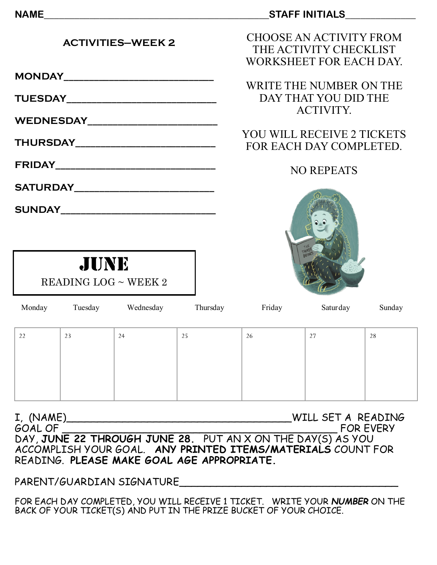#### **NAME\_\_\_\_\_\_\_\_\_\_\_\_\_\_\_\_\_\_\_\_\_\_\_\_\_\_\_\_\_\_\_\_\_\_\_\_\_\_\_\_\_\_\_\_\_STAFF INITIALS\_\_\_\_\_\_\_\_\_\_\_\_\_\_**

| CHOOSE AN ACTIVITY FROM |
|-------------------------|
| THE ACTIVITY CHECKLIST  |
| WORKSHEET FOR EACH DAY. |

WRITE THE NUMBER ON THE DAY THAT YOU DID THE ACTIVITY.

## YOU WILL RECEIVE 2 TICKETS FOR EACH DAY COMPLETED.

#### NO REPEATS



JUNE  $READING$   $LOG \sim WEEK$  2

**ACTIVITIES—WEEK 2**

**MONDAY\_\_\_\_\_\_\_\_\_\_\_\_\_\_\_\_\_\_\_\_\_\_\_\_\_\_\_\_\_\_**

**TUESDAY\_\_\_\_\_\_\_\_\_\_\_\_\_\_\_\_\_\_\_\_\_\_\_\_\_\_\_\_\_\_**

**WEDNESDAY\_\_\_\_\_\_\_\_\_\_\_\_\_\_\_\_\_\_\_\_\_\_\_\_\_\_**

**THURSDAY\_\_\_\_\_\_\_\_\_\_\_\_\_\_\_\_\_\_\_\_\_\_\_\_\_\_\_\_**

**FRIDAY\_\_\_\_\_\_\_\_\_\_\_\_\_\_\_\_\_\_\_\_\_\_\_\_\_\_\_\_\_\_\_\_**

**SATURDAY\_\_\_\_\_\_\_\_\_\_\_\_\_\_\_\_\_\_\_\_\_\_\_\_\_\_\_\_**

 $SUNDAY$ 

| Monday | Tuesday | Wednesday | Thursday | Friday | Saturday | Sunday |
|--------|---------|-----------|----------|--------|----------|--------|
|        |         |           |          |        |          |        |
| 22     | 23      | 24        | 25       | 26     | 27       | 28     |
|        |         |           |          |        |          |        |
|        |         |           |          |        |          |        |
|        |         |           |          |        |          |        |
|        |         |           |          |        |          |        |
|        |         |           |          |        |          |        |

I, (NAME)\_\_\_\_\_\_\_\_\_\_\_\_\_\_\_\_\_\_\_\_\_\_\_\_\_\_\_\_\_\_\_\_\_\_\_\_WILL SET A READING GOAL OF \_\_\_\_\_\_\_\_\_\_\_\_\_\_\_\_\_\_\_\_\_\_\_\_\_\_\_\_\_\_\_\_\_\_\_\_\_\_\_\_\_\_\_\_ FOR EVERY DAY, **JUNE 22 THROUGH JUNE 28.** PUT AN X ON THE DAY(S) AS YOU ACCOMPLISH YOUR GOAL. **ANY PRINTED ITEMS/MATERIALS** COUNT FOR READING. **PLEASE MAKE GOAL AGE APPROPRIATE.**

PARENT/GUARDIAN SIGNATURE\_\_\_\_\_\_\_\_\_\_\_\_\_\_\_\_\_\_\_\_\_\_\_\_\_\_\_\_\_\_\_\_\_\_\_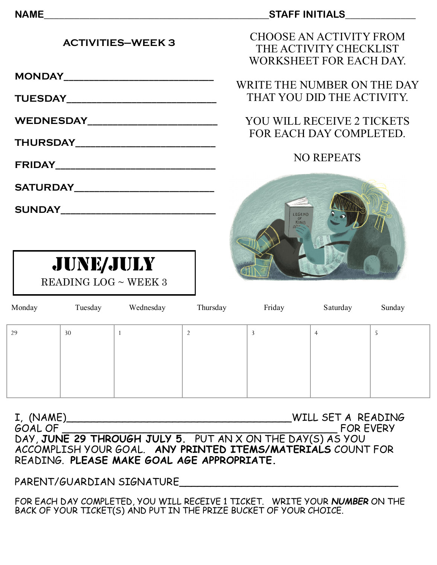#### NAME **NAME**

#### **ACTIVITIES—WEEK 3**

**MONDAY\_\_\_\_\_\_\_\_\_\_\_\_\_\_\_\_\_\_\_\_\_\_\_\_\_\_\_\_\_\_**

**TUESDAY\_\_\_\_\_\_\_\_\_\_\_\_\_\_\_\_\_\_\_\_\_\_\_\_\_\_\_\_\_\_**

**WEDNESDAY\_\_\_\_\_\_\_\_\_\_\_\_\_\_\_\_\_\_\_\_\_\_\_\_\_\_**

**THURSDAY\_\_\_\_\_\_\_\_\_\_\_\_\_\_\_\_\_\_\_\_\_\_\_\_\_\_\_\_**

**FRIDAY\_\_\_\_\_\_\_\_\_\_\_\_\_\_\_\_\_\_\_\_\_\_\_\_\_\_\_\_\_\_\_\_**

**SATURDAY\_\_\_\_\_\_\_\_\_\_\_\_\_\_\_\_\_\_\_\_\_\_\_\_\_\_\_\_**

 $SUNDAY$ 

JUNE/JULY READING LOG ~ WEEK 3 CHOOSE AN ACTIVITY FROM THE ACTIVITY CHECKLIST WORKSHEET FOR EACH DAY.

WRITE THE NUMBER ON THE DAY THAT YOU DID THE ACTIVITY.

## YOU WILL RECEIVE 2 TICKETS FOR EACH DAY COMPLETED.

## NO REPEATS



| Monday | Tuesday | Wednesday | Thursday | Friday | Saturday       | Sunday |
|--------|---------|-----------|----------|--------|----------------|--------|
| 29     | 30      |           |          | 3      | $\overline{4}$ | э      |
|        |         |           |          |        |                |        |
|        |         |           |          |        |                |        |
|        |         |           |          |        |                |        |

I, (NAME)\_\_\_\_\_\_\_\_\_\_\_\_\_\_\_\_\_\_\_\_\_\_\_\_\_\_\_\_\_\_\_\_\_\_\_\_WILL SET A READING GOAL OF \_\_\_\_\_\_\_\_\_\_\_\_\_\_\_\_\_\_\_\_\_\_\_\_\_\_\_\_\_\_\_\_\_\_\_\_\_\_\_\_\_\_\_\_ FOR EVERY DAY, **JUNE 29 THROUGH JULY 5.** PUT AN X ON THE DAY(S) AS YOU ACCOMPLISH YOUR GOAL. **ANY PRINTED ITEMS/MATERIALS** COUNT FOR READING. **PLEASE MAKE GOAL AGE APPROPRIATE.**

PARENT/GUARDIAN SIGNATURE\_\_\_\_\_\_\_\_\_\_\_\_\_\_\_\_\_\_\_\_\_\_\_\_\_\_\_\_\_\_\_\_\_\_\_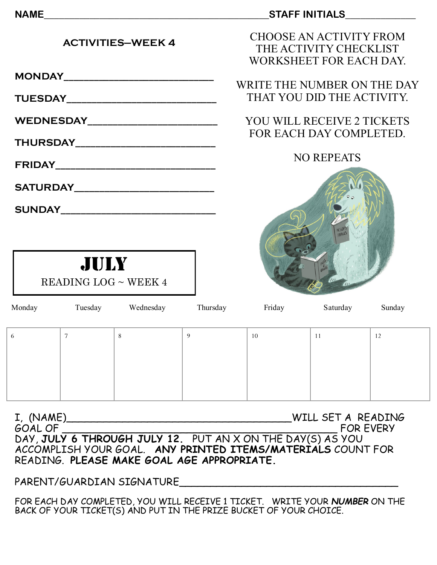#### **NAME\_\_\_\_\_\_\_\_\_\_\_\_\_\_\_\_\_\_\_\_\_\_\_\_\_\_\_\_\_\_\_\_\_\_\_\_\_\_\_\_\_\_\_\_\_STAFF INITIALS\_\_\_\_\_\_\_\_\_\_\_\_\_\_**

CHOOSE AN ACTIVITY FROM THE ACTIVITY CHECKLIST WORKSHEET FOR EACH DAY.

WRITE THE NUMBER ON THE DAY THAT YOU DID THE ACTIVITY.

## YOU WILL RECEIVE 2 TICKETS FOR EACH DAY COMPLETED.

### NO REPEATS



| JULY                 |  |
|----------------------|--|
| READING LOG ~ WEEK 4 |  |

**ACTIVITIES—WEEK 4**

**MONDAY\_\_\_\_\_\_\_\_\_\_\_\_\_\_\_\_\_\_\_\_\_\_\_\_\_\_\_\_\_\_**

**TUESDAY\_\_\_\_\_\_\_\_\_\_\_\_\_\_\_\_\_\_\_\_\_\_\_\_\_\_\_\_\_\_**

**WEDNESDAY\_\_\_\_\_\_\_\_\_\_\_\_\_\_\_\_\_\_\_\_\_\_\_\_\_\_**

**THURSDAY\_\_\_\_\_\_\_\_\_\_\_\_\_\_\_\_\_\_\_\_\_\_\_\_\_\_\_\_**

**FRIDAY\_\_\_\_\_\_\_\_\_\_\_\_\_\_\_\_\_\_\_\_\_\_\_\_\_\_\_\_\_\_\_\_**

**SATURDAY\_\_\_\_\_\_\_\_\_\_\_\_\_\_\_\_\_\_\_\_\_\_\_\_\_\_\_\_**

 $SUNDAY$ 

| Monday   | Tuesday | Wednesday | Thursday | Friday | Saturday | Sunday |
|----------|---------|-----------|----------|--------|----------|--------|
| $\sigma$ | 7       | -8        | 9        | 10     | 11       | 12     |
|          |         |           |          |        |          |        |
|          |         |           |          |        |          |        |
|          |         |           |          |        |          |        |

I, (NAME)\_\_\_\_\_\_\_\_\_\_\_\_\_\_\_\_\_\_\_\_\_\_\_\_\_\_\_\_\_\_\_\_\_\_\_\_WILL SET A READING GOAL OF GOAL OF THE SALE OF THE SALE OF THE SALE OF THE SALE OF THE SALE OF THE SALE OF THE SALE OF THE SALE O DAY, **JULY 6 THROUGH JULY 12.** PUT AN X ON THE DAY(S) AS YOU ACCOMPLISH YOUR GOAL. **ANY PRINTED ITEMS/MATERIALS** COUNT FOR READING. **PLEASE MAKE GOAL AGE APPROPRIATE.**

PARENT/GUARDIAN SIGNATURE\_\_\_\_\_\_\_\_\_\_\_\_\_\_\_\_\_\_\_\_\_\_\_\_\_\_\_\_\_\_\_\_\_\_\_